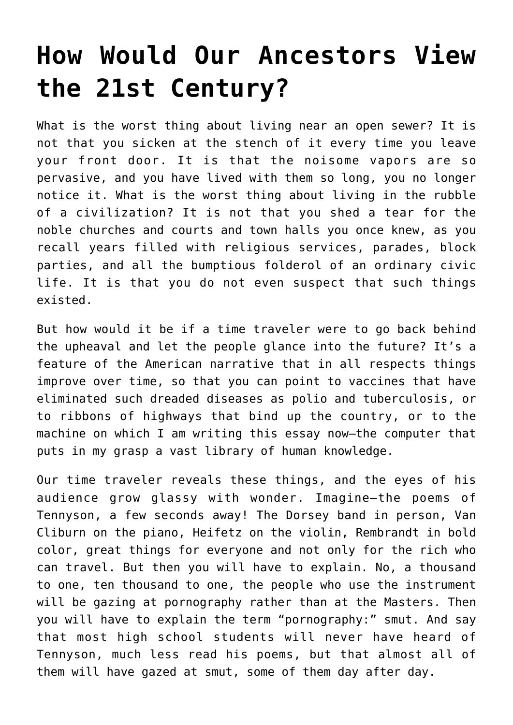## **[How Would Our Ancestors View](https://intellectualtakeout.org/2018/08/how-would-our-ancestors-view-the-21st-century/) [the 21st Century?](https://intellectualtakeout.org/2018/08/how-would-our-ancestors-view-the-21st-century/)**

What is the worst thing about living near an open sewer? It is not that you sicken at the stench of it every time you leave your front door. It is that the noisome vapors are so pervasive, and you have lived with them so long, you no longer notice it. What is the worst thing about living in the rubble of a civilization? It is not that you shed a tear for the noble churches and courts and town halls you once knew, as you recall years filled with religious services, parades, block parties, and all the bumptious folderol of an ordinary civic life. It is that you do not even suspect that such things existed.

But how would it be if a time traveler were to go back behind the upheaval and let the people glance into the future? It's a feature of the American narrative that in all respects things improve over time, so that you can point to vaccines that have eliminated such dreaded diseases as polio and tuberculosis, or to ribbons of highways that bind up the country, or to the machine on which I am writing this essay now—the computer that puts in my grasp a vast library of human knowledge.

Our time traveler reveals these things, and the eyes of his audience grow glassy with wonder. Imagine—the poems of Tennyson, a few seconds away! The Dorsey band in person, Van Cliburn on the piano, Heifetz on the violin, Rembrandt in bold color, great things for everyone and not only for the rich who can travel. But then you will have to explain. No, a thousand to one, ten thousand to one, the people who use the instrument will be gazing at pornography rather than at the Masters. Then you will have to explain the term "pornography:" smut. And say that most high school students will never have heard of Tennyson, much less read his poems, but that almost all of them will have gazed at smut, some of them day after day.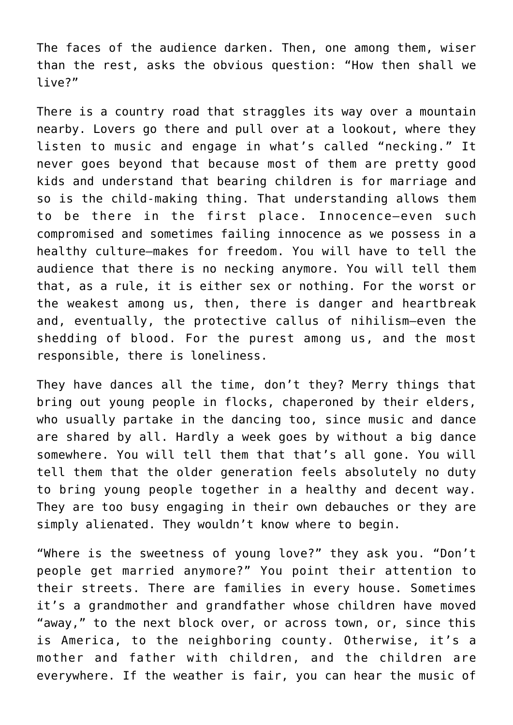The faces of the audience darken. Then, one among them, wiser than the rest, asks the obvious question: "How then shall we live?"

There is a country road that straggles its way over a mountain nearby. Lovers go there and pull over at a lookout, where they listen to music and engage in what's called "necking." It never goes beyond that because most of them are pretty good kids and understand that bearing children is for marriage and so is the child-making thing. That understanding allows them to be there in the first place. Innocence—even such compromised and sometimes failing innocence as we possess in a healthy culture—makes for freedom. You will have to tell the audience that there is no necking anymore. You will tell them that, as a rule, it is either sex or nothing. For the worst or the weakest among us, then, there is danger and heartbreak and, eventually, the protective callus of nihilism—even the shedding of blood. For the purest among us, and the most responsible, there is loneliness.

They have dances all the time, don't they? Merry things that bring out young people in flocks, chaperoned by their elders, who usually partake in the dancing too, since music and dance are shared by all. Hardly a week goes by without a big dance somewhere. You will tell them that that's all gone. You will tell them that the older generation feels absolutely no duty to bring young people together in a healthy and decent way. They are too busy engaging in their own debauches or they are simply alienated. They wouldn't know where to begin.

"Where is the sweetness of young love?" they ask you. "Don't people get married anymore?" You point their attention to their streets. There are families in every house. Sometimes it's a grandmother and grandfather whose children have moved "away," to the next block over, or across town, or, since this is America, to the neighboring county. Otherwise, it's a mother and father with children, and the children are everywhere. If the weather is fair, you can hear the music of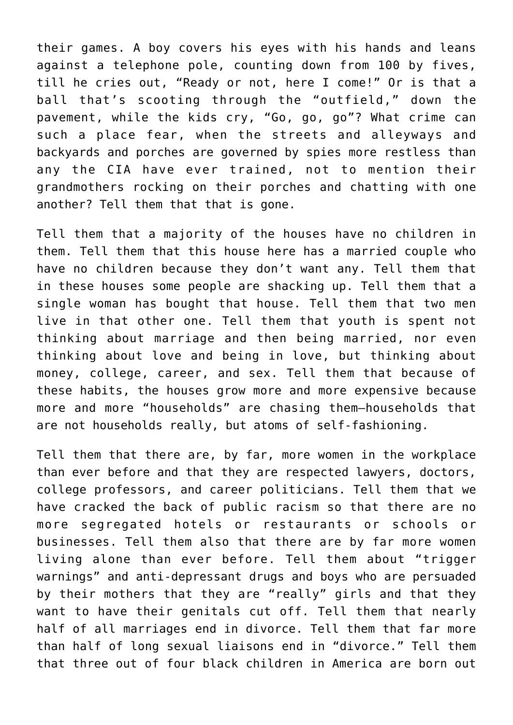their games. A boy covers his eyes with his hands and leans against a telephone pole, counting down from 100 by fives, till he cries out, "Ready or not, here I come!" Or is that a ball that's scooting through the "outfield," down the pavement, while the kids cry, "Go, go, go"? What crime can such a place fear, when the streets and alleyways and backyards and porches are governed by spies more restless than any the CIA have ever trained, not to mention their grandmothers rocking on their porches and chatting with one another? Tell them that that is gone.

Tell them that a majority of the houses have no children in them. Tell them that this house here has a married couple who have no children because they don't want any. Tell them that in these houses some people are shacking up. Tell them that a single woman has bought that house. Tell them that two men live in that other one. Tell them that youth is spent not thinking about marriage and then being married, nor even thinking about love and being in love, but thinking about money, college, career, and sex. Tell them that because of these habits, the houses grow more and more expensive because more and more "households" are chasing them—households that are not households really, but atoms of self-fashioning.

Tell them that there are, by far, more women in the workplace than ever before and that they are respected lawyers, doctors, college professors, and career politicians. Tell them that we have cracked the back of public racism so that there are no more segregated hotels or restaurants or schools or businesses. Tell them also that there are by far more women living alone than ever before. Tell them about "trigger warnings" and anti-depressant drugs and boys who are persuaded by their mothers that they are "really" girls and that they want to have their genitals cut off. Tell them that nearly half of all marriages end in divorce. Tell them that far more than half of long sexual liaisons end in "divorce." Tell them that three out of four black children in America are born out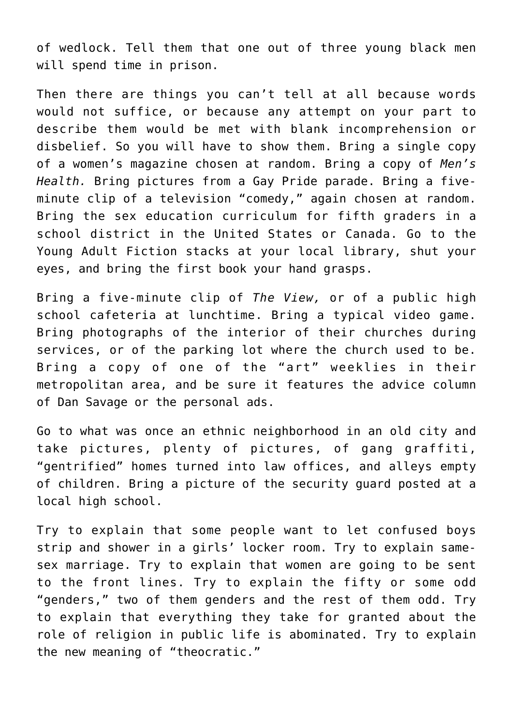of wedlock. Tell them that one out of three young black men will spend time in prison.

Then there are things you can't tell at all because words would not suffice, or because any attempt on your part to describe them would be met with blank incomprehension or disbelief. So you will have to show them. Bring a single copy of a women's magazine chosen at random. Bring a copy of *Men's Health.* Bring pictures from a Gay Pride parade. Bring a fiveminute clip of a television "comedy," again chosen at random. Bring the sex education curriculum for fifth graders in a school district in the United States or Canada. Go to the Young Adult Fiction stacks at your local library, shut your eyes, and bring the first book your hand grasps.

Bring a five-minute clip of *The View,* or of a public high school cafeteria at lunchtime. Bring a typical video game. Bring photographs of the interior of their churches during services, or of the parking lot where the church used to be. Bring a copy of one of the "art" weeklies in their metropolitan area, and be sure it features the advice column of Dan Savage or the personal ads.

Go to what was once an ethnic neighborhood in an old city and take pictures, plenty of pictures, of gang graffiti, "gentrified" homes turned into law offices, and alleys empty of children. Bring a picture of the security guard posted at a local high school.

Try to explain that some people want to let confused boys strip and shower in a girls' locker room. Try to explain samesex marriage. Try to explain that women are going to be sent to the front lines. Try to explain the fifty or some odd "genders," two of them genders and the rest of them odd. Try to explain that everything they take for granted about the role of religion in public life is abominated. Try to explain the new meaning of "theocratic."